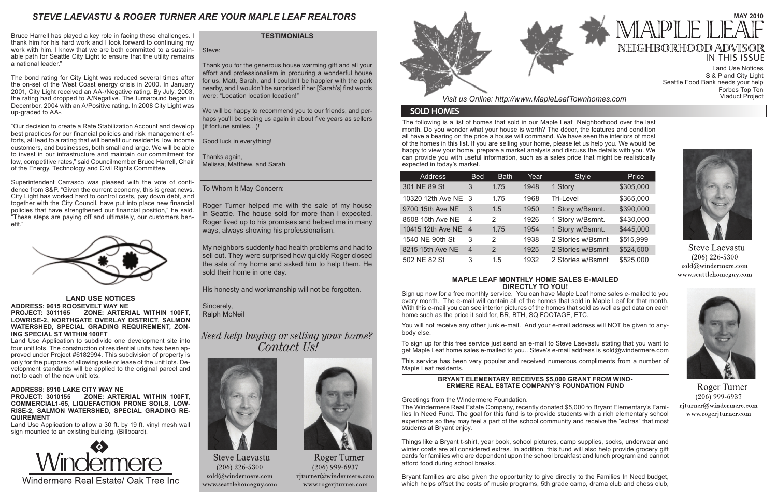The following is a list of homes that sold in our Maple Leaf Neighborhood over the last month. Do you wonder what your house is worth? The décor, the features and condition all have a bearing on the price a house will command. We have seen the interiors of most of the homes in this list. If you are selling your home, please let us help you. We would be happy to view your home, prepare a market analysis and discuss the details with you. We can provide you with useful information, such as a sales price that might be realistically expected in today's market.

*Visit us Online: http://www.MapleLeafTownhomes.com*

### **SOLD HOMES**

## *STEVE LAEVASTU & ROGER TURNER ARE YOUR MAPLE LEAF REALTORS*

#### **MAPLE LEAF MONTHLY HOME SALES E-MAILED DIRECTLY TO YOU!**

Sign up now for a free monthly service. You can have Maple Leaf home sales e-mailed to you every month. The e-mail will contain all of the homes that sold in Maple Leaf for that month. With this e-mail you can see interior pictures of the homes that sold as well as get data on each home such as the price it sold for, BR, BTH, SQ FOOTAGE, ETC.

You will not receive any other junk e-mail. And your e-mail address will NOT be given to anybody else.

To sign up for this free service just send an e-mail to Steve Laevastu stating that you want to get Maple Leaf home sales e-mailed to you.. Steve's e-mail address is sold@windermere.com

This service has been very popular and received numerous compliments from a number of Maple Leaf residents.

### **TESTIMONIALS**

Steve:

Thank you for the generous house warming gift and all your effort and professionalism in procuring a wonderful house for us. Matt, Sarah, and I couldn't be happier with the park nearby, and I wouldn't be surprised if her [Sarah's] first words were: "Location location location!"

We will be happy to recommend you to our friends, and perhaps you'll be seeing us again in about five years as sellers (if fortune smiles…)!

Good luck in everything!

Thanks again, Melissa, Matthew, and Sarah

To Whom It May Concern:

Roger Turner helped me with the sale of my house in Seattle. The house sold for more than I expected. Roger lived up to his promises and helped me in many ways, always showing his professionalism.

My neighbors suddenly had health problems and had to sell out. They were surprised how quickly Roger closed the sale of my home and asked him to help them. He sold their home in one day.

His honesty and workmanship will not be forgotten.

Sincerely, Ralph McNeil

Need help buying or selling your home? Contact Us!



**Steve Laevastu**  $(206)$  226-5300 sold@windermere.com www.seattlehomeguy.com



Roger Turner  $(206)$  999-6937 rjturner@windermere.com www.rogerjturner.com



| <b>Address</b>      | <b>Bed</b>     | <b>Bath</b>    | Year | <b>Style</b>      | Price     |
|---------------------|----------------|----------------|------|-------------------|-----------|
| 301 NE 89 St        | 3              | 1.75           | 1948 | 1 Story           | \$305,000 |
| 10320 12th Ave NE 3 |                | 1.75           | 1968 | Tri-Level         | \$365,000 |
| 9700 15th Ave NE    | - 3            | 1.5            | 1950 | 1 Story w/Bsmnt.  | \$390,000 |
| 8508 15th Ave NE    | $\overline{4}$ | 2              | 1926 | 1 Story w/Bsmnt.  | \$430,000 |
| 10415 12th Ave NE 4 |                | 1.75           | 1954 | 1 Story w/Bsmnt.  | \$445,000 |
| 1540 NE 90th St     | 3              | 2              | 1938 | 2 Stories w/Bsmnt | \$515,999 |
| 8215 15th Ave NE    | $\overline{4}$ | $\overline{2}$ | 1925 | 2 Stories w/Bsmnt | \$524,500 |
| 502 NE 82 St        | 3              | 1.5            | 1932 | 2 Stories w/Bsmnt | \$525,000 |

#### **LAND USE NOTICES ADDRESS: 9615 ROOSEVELT WAY NE PROJECT: 3011165 ZONE: ARTERIAL WITHIN 100FT, LOWRISE-2, NORTHGATE OVERLAY DISTRICT, SALMON WATERSHED, SPECIAL GRADING REQUIREMENT, ZON-ING SPECIAL ST WITHIN 100FT**

Land Use Application to subdivide one development site into four unit lots. The construction of residential units has been approved under Project #6182994. This subdivision of property is only for the purpose of allowing sale or lease of the unit lots. Development standards will be applied to the original parcel and not to each of the new unit lots.

#### **ADDRESS: 8910 LAKE CITY WAY NE PROJECT: 3010155 ZONE: ARTERIAL WITHIN 100FT, COMMERCIAL1-65, LIQUEFACTION PRONE SOILS, LOW-RISE-2, SALMON WATERSHED, SPECIAL GRADING RE-QUIREMENT**

Land Use Application to allow a 30 ft. by 19 ft. vinyl mesh wall sign mounted to an existing building. (Billboard).



#### **BRYANT ELEMENTARY RECEIVES \$5,000 GRANT FROM WIND-ERMERE REAL ESTATE COMPANY'S FOUNDATION FUND**

Greetings from the Windermere Foundation,

The Windermere Real Estate Company, recently donated \$5,000 to Bryant Elementary's Families In Need Fund. The goal for this fund is to provide students with a rich elementary school experience so they may feel a part of the school community and receive the "extras" that most students at Bryant enjoy.

Things like a Bryant t-shirt, year book, school pictures, camp supplies, socks, underwear and winter coats are all considered extras. In addition, this fund will also help provide grocery gift cards for families who are dependent upon the school breakfast and lunch program and cannot afford food during school breaks.

Bryant families are also given the opportunity to give directly to the Families In Need budget, which helps offset the costs of music programs, 5th grade camp, drama club and chess club,



## **MAY 2010** NEIGHBORHOOD ADVISOR **IN THIS ISSUE**

Land Use Notices S & P and City Light Seattle Food Bank needs your help Forbes Top Ten Viaduct Project



**Steve Laevastu**  $(206)$  226-5300 sold@windermere.com www.seattlehomeguy.com



Roger Turner  $(206)$  999-6937 rjturner@windermere.com www.rogerjturner.com

Bruce Harrell has played a key role in facing these challenges. I thank him for his hard work and I look forward to continuing my work with him. I know that we are both committed to a sustainable path for Seattle City Light to ensure that the utility remains a national leader."

The bond rating for City Light was reduced several times after the on-set of the West Coast energy crisis in 2000. In January 2001, City Light received an AA-/Negative rating. By July, 2003, the rating had dropped to A/Negative. The turnaround began in December, 2004 with an A/Positive rating. In 2008 City Light was up-graded to AA-.

"Our decision to create a Rate Stabilization Account and develop best practices for our financial policies and risk management efforts, all lead to a rating that will benefit our residents, low income customers, and businesses, both small and large. We will be able to invest in our infrastructure and maintain our commitment for low, competitive rates," said Councilmember Bruce Harrell, Chair of the Energy, Technology and Civil Rights Committee.

Superintendent Carrasco was pleased with the vote of confidence from S&P. "Given the current economy, this is great news. City Light has worked hard to control costs, pay down debt, and together with the City Council, have put into place new financial policies that have strengthened our financial position," he said. "These steps are paying off and ultimately, our customers benefit."